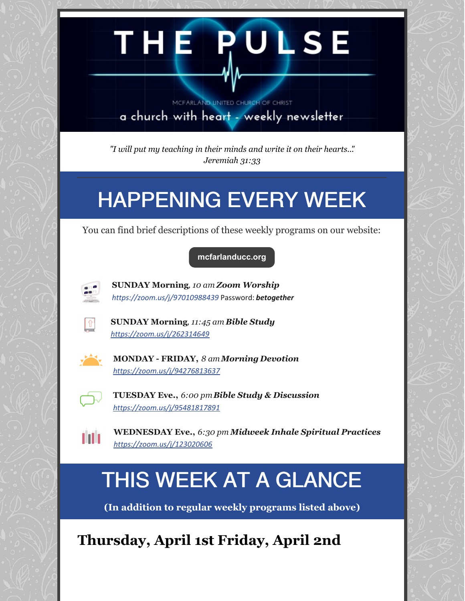# THE RULSE MCFARLAND UNITED CHURCH OF CHRIST a church with heart - weekly newsletter

*"I will put my teaching in their minds and write it on their hearts..". Jeremiah 31:33*

## HAPPENING EVERY WEEK

You can find brief descriptions of these weekly programs on our website:

#### **[mcfarlanducc.org](http://mcfarlanducc.org)**



**SUNDAY Morning***, 10 am Zoom Worship <https://zoom.us/j/97010988439>* Password: *betogether*



**SUNDAY Morning***, 11:45 am Bible Study <https://zoom.us/j/262314649>*



**MONDAY - FRIDAY,** *8 amMorning Devotion <https://zoom.us/j/94276813637>*



ШÌ

**TUESDAY Eve.,** *6:00 pmBible Study & Discussion <https://zoom.us/j/95481817891>*

**WEDNESDAY Eve.,** *6:30 pm Midweek Inhale Spiritual Practices <https://zoom.us/j/123020606>*

### THIS WEEK AT A GLANCE

**(In addition to regular weekly programs listed above)**

**Thursday, April 1st Friday, April 2nd**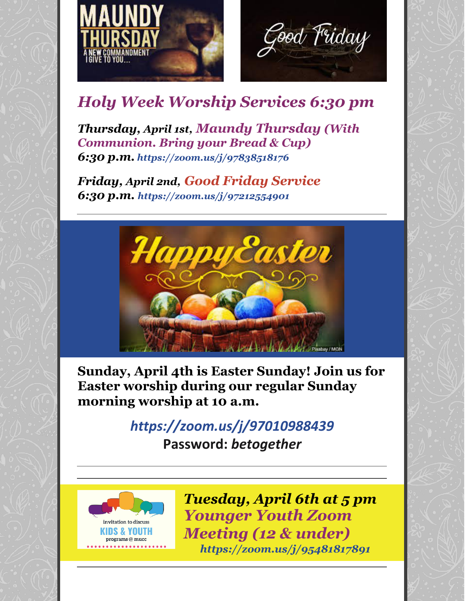



### *Holy Week Worship Services 6:30 pm*

*Thursday, April 1st, Maundy Thursday (With Communion. Bring your Bread & Cup) 6:30 p.m. <https://zoom.us/j/97838518176>*

*Friday, April 2nd, Good Friday Service 6:30 p.m. <https://zoom.us/j/97212554901>*



**Sunday, April 4th is Easter Sunday! Join us for Easter worship during our regular Sunday morning worship at 10 a.m.**

### *<https://zoom.us/j/97010988439>* **Password:** *betogether*



*Tuesday, April 6th at 5 pm Younger Youth Zoom Meeting (12 & under) <https://zoom.us/j/95481817891>*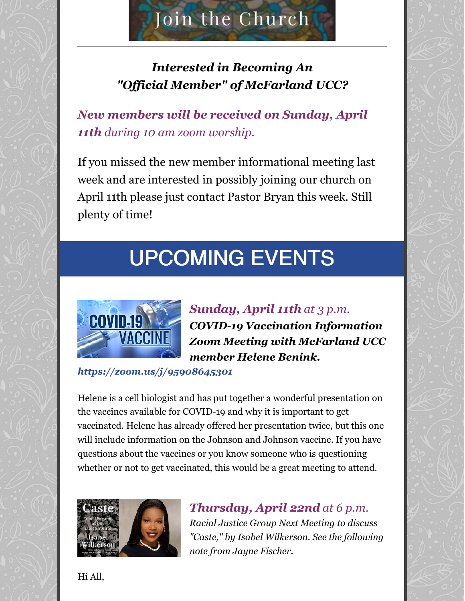## Join the Church

#### *Interested in Becoming An "Of icial Member" of McFarland UCC?*

*New members will be received on Sunday, April 11th during 10 am zoom worship.*

If you missed the new member informational meeting last week and are interested in possibly joining our church on April 11th please just contact Pastor Bryan this week. Still plenty of time!

# UPCOMING EVENTS



*Sunday, April 11th at 3 p.m. COVID-19 Vaccination Information Zoom Meeting with McFarland UCC member Helene Benink.*

*<https://zoom.us/j/95908645301>*

Helene is a cell biologist and has put together a wonderful presentation on the vaccines available for COVID-19 and why it is important to get vaccinated. Helene has already offered her presentation twice, but this one will include information on the Johnson and Johnson vaccine. If you have questions about the vaccines or you know someone who is questioning whether or not to get vaccinated, this would be a great meeting to attend.



*Thursday, April 22nd at 6 p.m. Racial Justice Group Next Meeting to discuss "Caste," by Isabel Wilkerson. See the following note from Jayne Fischer.*

Hi All,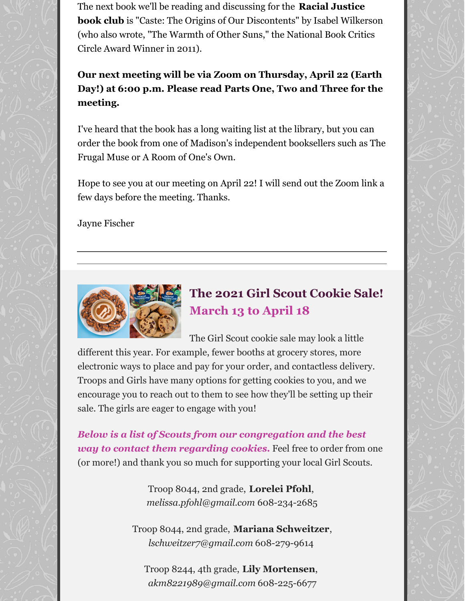The next book we'll be reading and discussing for the **Racial Justice book club** is "Caste: The Origins of Our Discontents" by Isabel Wilkerson (who also wrote, "The Warmth of Other Suns," the National Book Critics Circle Award Winner in 2011).

**Our next meeting will be via Zoom on Thursday, April 22 (Earth Day!) at 6:00 p.m. Please read Parts One, Two and Three for the meeting.**

I've heard that the book has a long waiting list at the library, but you can order the book from one of Madison's independent booksellers such as The Frugal Muse or A Room of One's Own.

Hope to see you at our meeting on April 22! I will send out the Zoom link a few days before the meeting. Thanks.

Jayne Fischer



#### **The 2021 Girl Scout Cookie Sale! March 13 to April 18**

The Girl Scout cookie sale may look a little different this year. For example, fewer booths at grocery stores, more electronic ways to place and pay for your order, and contactless delivery. Troops and Girls have many options for getting cookies to you, and we encourage you to reach out to them to see how they'll be setting up their sale. The girls are eager to engage with you!

*Below is a list of Scouts from our congregation and the best way to contact them regarding cookies.* Feel free to order from one (or more!) and thank you so much for supporting your local Girl Scouts.

> Troop 8044, 2nd grade, **Lorelei Pfohl**, *[melissa.pfohl@gmail.com](mailto:melissa.pfohl@gmail.com)* 608-234-2685

Troop 8044, 2nd grade, **Mariana Schweitzer**, *[lschweitzer7@gmail.com](mailto:lschweitzer7@gmail.com)* 608-279-9614

Troop 8244, 4th grade, **Lily Mortensen**, *[akm8221989@gmail.com](mailto:akm8221989@gmail.com)* 608-225-6677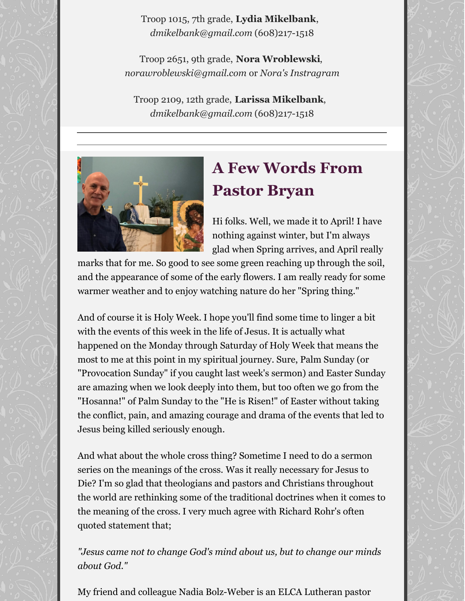Troop 1015, 7th grade, **Lydia Mikelbank**, *[dmikelbank@gmail.com](mailto:dmikelbank@gmail.com)* (608)217-1518

Troop 2651, 9th grade, **Nora Wroblewski**, *[norawroblewski@gmail.com](mailto:norawroblewski@gmail.com)* or *Nora's [Instragram](https://www.instagram.com/norawroblewski/)*

Troop 2109, 12th grade, **Larissa Mikelbank**, *[dmikelbank@gmail.com](mailto:dmikelbank@gmail.com)* (608)217-1518



### **A Few Words From Pastor Bryan**

Hi folks. Well, we made it to April! I have nothing against winter, but I'm always glad when Spring arrives, and April really

marks that for me. So good to see some green reaching up through the soil, and the appearance of some of the early flowers. I am really ready for some warmer weather and to enjoy watching nature do her "Spring thing."

And of course it is Holy Week. I hope you'll find some time to linger a bit with the events of this week in the life of Jesus. It is actually what happened on the Monday through Saturday of Holy Week that means the most to me at this point in my spiritual journey. Sure, Palm Sunday (or "Provocation Sunday" if you caught last week's sermon) and Easter Sunday are amazing when we look deeply into them, but too often we go from the "Hosanna!" of Palm Sunday to the "He is Risen!" of Easter without taking the conflict, pain, and amazing courage and drama of the events that led to Jesus being killed seriously enough.

And what about the whole cross thing? Sometime I need to do a sermon series on the meanings of the cross. Was it really necessary for Jesus to Die? I'm so glad that theologians and pastors and Christians throughout the world are rethinking some of the traditional doctrines when it comes to the meaning of the cross. I very much agree with Richard Rohr's often quoted statement that;

*"Jesus came not to change God's mind about us, but to change our minds about God."*

My friend and colleague Nadia Bolz-Weber is an ELCA Lutheran pastor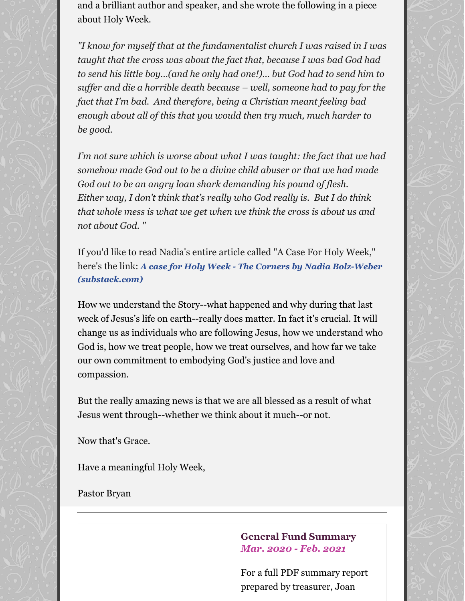and a brilliant author and speaker, and she wrote the following in a piece about Holy Week.

*"I know for myself that at the fundamentalist church I was raised in I was taught that the cross was about the fact that, because I was bad God had to send his little boy…(and he only had one!)… but God had to send him to suf er and die a horrible death because – well, someone had to pay for the fact that I'm bad. And therefore, being a Christian meant feeling bad enough about all of this that you would then try much, much harder to be good.*

*I'm not sure which is worse about what I was taught: the fact that we had somehow made God out to be a divine child abuser or that we had made God out to be an angry loan shark demanding his pound of flesh. Either way, I don't think that's really who God really is. But I do think that whole mess is what we get when we think the cross is about us and not about God. "*

If you'd like to read Nadia's entire article called "A Case For Holy Week," here's the link: *A case for Holy Week - The Corners by Nadia Bolz-Weber [\(substack.com\)](https://thecorners.substack.com/p/a-case-for-holy-week)*

How we understand the Story--what happened and why during that last week of Jesus's life on earth--really does matter. In fact it's crucial. It will change us as individuals who are following Jesus, how we understand who God is, how we treat people, how we treat ourselves, and how far we take our own commitment to embodying God's justice and love and compassion.

But the really amazing news is that we are all blessed as a result of what Jesus went through--whether we think about it much--or not.

Now that's Grace.

Have a meaningful Holy Week,

Pastor Bryan

#### **General Fund Summary** *Mar. 2020 - Feb. 2021*

For a full PDF summary report prepared by treasurer, Joan